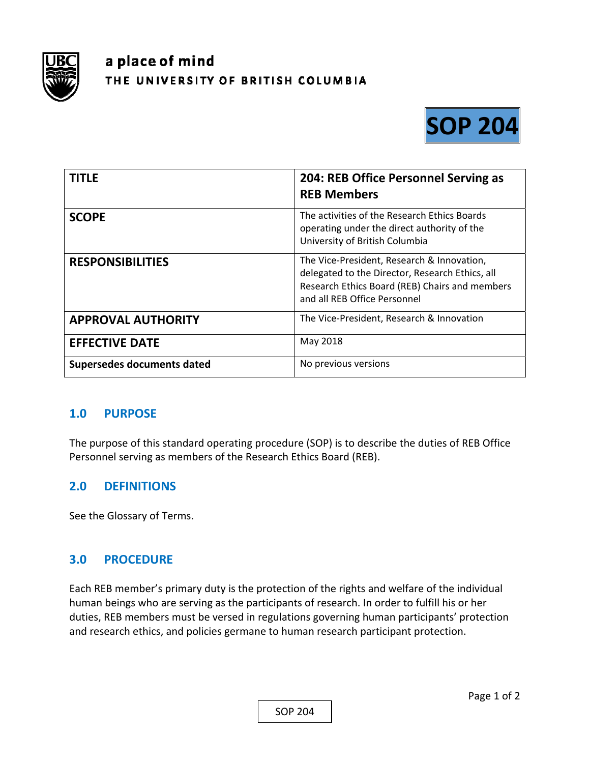

# a place of mind THE UNIVERSITY OF BRITISH COLUMBIA



| TITLE                      | 204: REB Office Personnel Serving as<br><b>REB Members</b>                                                                                                                      |
|----------------------------|---------------------------------------------------------------------------------------------------------------------------------------------------------------------------------|
| <b>SCOPE</b>               | The activities of the Research Ethics Boards<br>operating under the direct authority of the<br>University of British Columbia                                                   |
| <b>RESPONSIBILITIES</b>    | The Vice-President, Research & Innovation,<br>delegated to the Director, Research Ethics, all<br>Research Ethics Board (REB) Chairs and members<br>and all REB Office Personnel |
| <b>APPROVAL AUTHORITY</b>  | The Vice-President, Research & Innovation                                                                                                                                       |
| <b>EFFECTIVE DATE</b>      | May 2018                                                                                                                                                                        |
| Supersedes documents dated | No previous versions                                                                                                                                                            |

## **1.0 PURPOSE**

The purpose of this standard operating procedure (SOP) is to describe the duties of REB Office Personnel serving as members of the Research Ethics Board (REB).

# **2.0 DEFINITIONS**

See the Glossary of Terms.

## **3.0 PROCEDURE**

Each REB member's primary duty is the protection of the rights and welfare of the individual human beings who are serving as the participants of research. In order to fulfill his or her duties, REB members must be versed in regulations governing human participants' protection and research ethics, and policies germane to human research participant protection.